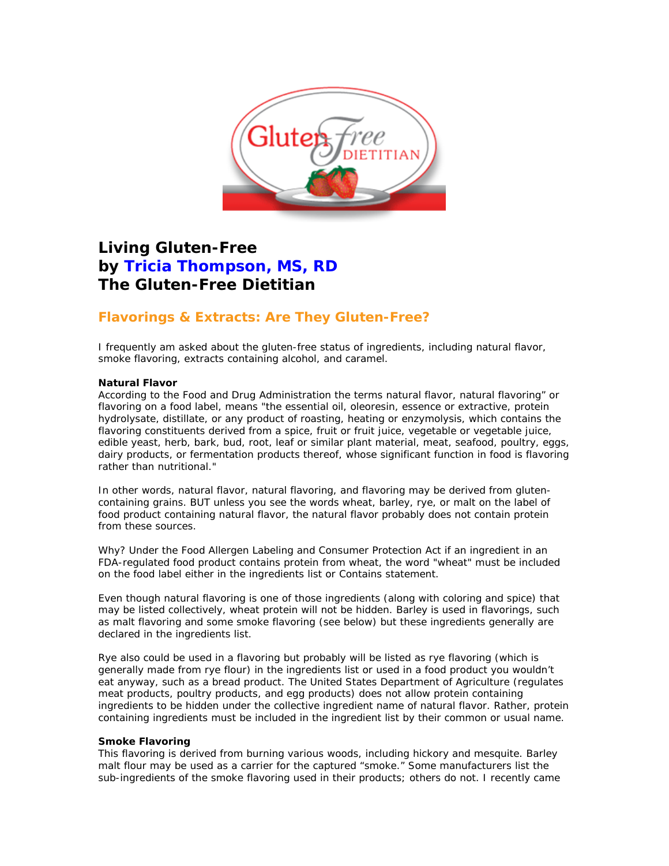

# **Living Gluten-Free by Tricia Thompson, MS, RD The Gluten-Free Dietitian**

# **Flavorings & Extracts: Are They Gluten-Free?**

I frequently am asked about the gluten-free status of ingredients, including natural flavor, smoke flavoring, extracts containing alcohol, and caramel.

## **Natural Flavor**

According to the Food and Drug Administration the terms natural flavor, natural flavoring" or flavoring on a food label, means "the essential oil, oleoresin, essence or extractive, protein hydrolysate, distillate, or any product of roasting, heating or enzymolysis, which contains the flavoring constituents derived from a spice, fruit or fruit juice, vegetable or vegetable juice, edible yeast, herb, bark, bud, root, leaf or similar plant material, meat, seafood, poultry, eggs, dairy products, or fermentation products thereof, whose significant function in food is flavoring rather than nutritional."

In other words, natural flavor, natural flavoring, and flavoring may be derived from glutencontaining grains. BUT unless you see the words wheat, barley, rye, or malt on the label of food product containing natural flavor, the natural flavor *probably* does not contain protein from these sources.

Why? Under the Food Allergen Labeling and Consumer Protection Act if an ingredient in an FDA-regulated food product contains protein from wheat, the word "wheat" must be included on the food label either in the ingredients list or Contains statement.

Even though natural flavoring is one of those ingredients (along with coloring and spice) that may be listed collectively, wheat protein will not be hidden. Barley is used in flavorings, such as malt flavoring and some smoke flavoring (see below) but these ingredients generally are declared in the ingredients list.

Rye also could be used in a flavoring but probably will be listed as rye flavoring (which is generally made from rye flour) in the ingredients list or used in a food product you wouldn't eat anyway, such as a bread product. The United States Department of Agriculture (regulates meat products, poultry products, and egg products) does not allow protein containing ingredients to be hidden under the collective ingredient name of natural flavor. Rather, protein containing ingredients must be included in the ingredient list by their common or usual name.

# **Smoke Flavoring**

This flavoring is derived from burning various woods, including hickory and mesquite. Barley malt flour may be used as a carrier for the captured "smoke." Some manufacturers list the sub-ingredients of the smoke flavoring used in their products; others do not. I recently came